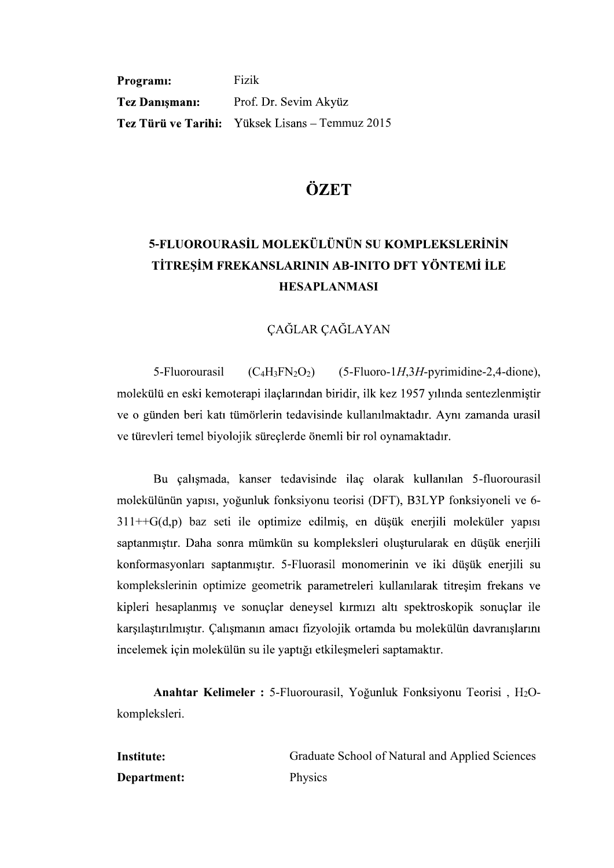Programi: Fizik **Tez Danismani:** Prof. Dr. Sevim Akyüz Tez Türü ve Tarihi: Yüksek Lisans - Temmuz 2015

### ÖZET

# 5-FLUOROURASİL MOLEKÜLÜNÜN SU KOMPLEKSLERİNİN TİTRESİM FREKANSLARININ AB-INITO DFT YÖNTEMİ İLE HESAPLANMASI

#### **CAĞLAR CAĞLAYAN**

5-Fluorourasil  $(C_4H_3FN_2O_2)$  (5-Fluoro-1H, 3H-pyrimidine-2, 4-dione), molekülü en eski kemoterapi ilaçlarından biridir, ilk kez 1957 yılında sentezlenmiştir ve o günden beri katı tümörlerin tedavisinde kullanılmaktadır. Aynı zamanda urasil ve türevleri temel biyolojik süreçlerde önemli bir rol oynamaktadır.

Bu çalışmada, kanser tedavisinde ilaç olarak kullanılan 5-fluorourasil 6-  $311++G(d,p)$  baz seti ile optimize edilmiş, en düşük enerjili moleküler yapısı<br>saptanmıştır. Daha sonra mümkün su kompleksleri oluşturularak en düşük enerjili<br>konformasyonları saptanmıştır. 5-Fluorasil monomerinin ve iki dü komplekslerinin optimize geometrik parametreleri kullanılarak titreşim frekans ve kipleri hesaplanmış ve sonuçlar deneysel kırmızı altı spektroskopik sonuçlar ile karşılaştırılmıştır. Çalışmanın amacı fizyolojik ortamda bu molekülün davranışlarını incelemek için molekülün su ile yaptığı etkileşmeleri saptamaktır.

**Anahtar Kelimeler :** 5-Fluorourasil, Yoğunluk Fonksiyonu Teorisi, H<sub>2</sub>Okompleksleri.

Institute: Graduate School of Natural and Applied Sciences Department: Physics